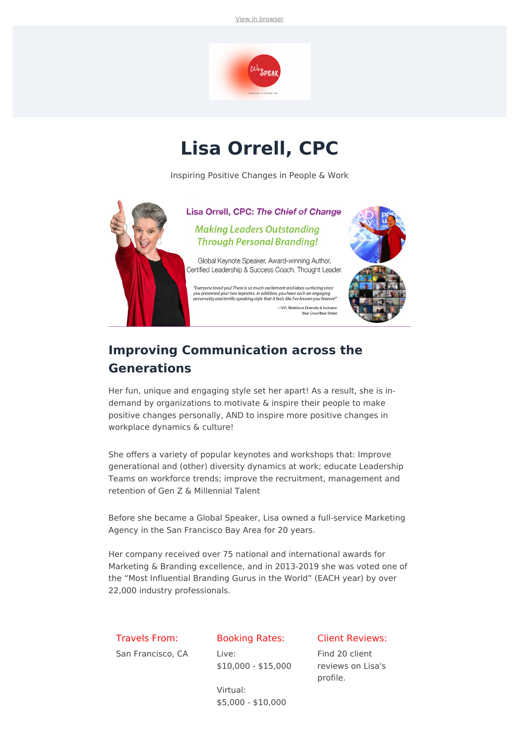View in [browser](file:///var/www/html/public/%7B%7B%20mirror%20%7D%7D)



## **Lisa Orrell, CPC**

Inspiring Positive Changes in People & Work



### **Improving Communication across the Generations**

Her fun, unique and engaging style set her apart! As a result, she is indemand by organizations to motivate & inspire their people to make positive changes personally, AND to inspire more positive changes in workplace dynamics & culture!

She offers a variety of popular keynotes and workshops that: Improve generational and (other) diversity dynamics at work; educate Leadership Teams on workforce trends; improve the recruitment, management and retention of Gen Z & Millennial Talent

Before she became a Global Speaker, Lisa owned a full-service Marketing Agency in the San Francisco Bay Area for 20 years.

Her company received over 75 national and international awards for Marketing & Branding excellence, and in 2013-2019 she was voted one of the "Most Influential Branding Gurus in the World" (EACH year) by over 22,000 industry professionals.

#### Travels From:

San Francisco, CA

#### Booking Rates:

Live: \$10,000 - \$15,000

#### Client Reviews:

Find 20 client reviews on Lisa's profile.

Virtual: \$5,000 - \$10,000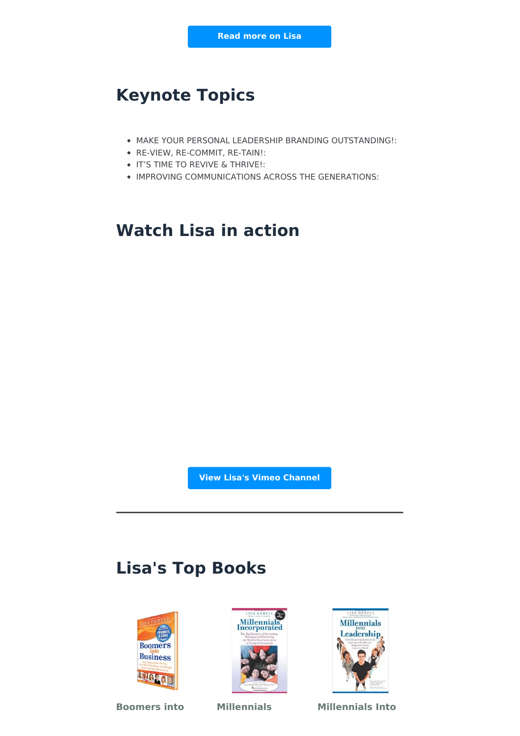### **Keynote Topics**

- MAKE YOUR PERSONAL LEADERSHIP BRANDING OUTSTANDING!:
- RE-VIEW, RE-COMMIT, RE-TAIN!:
- **IT'S TIME TO REVIVE & THRIVE!:**
- IMPROVING COMMUNICATIONS ACROSS THE GENERATIONS:

### **Watch Lisa in action**

**View Lisa's Vimeo [Channel](https://vimeo.com/595507754)**

### **Lisa's Top Books**







**Boomers into Millennials Millennials Into**